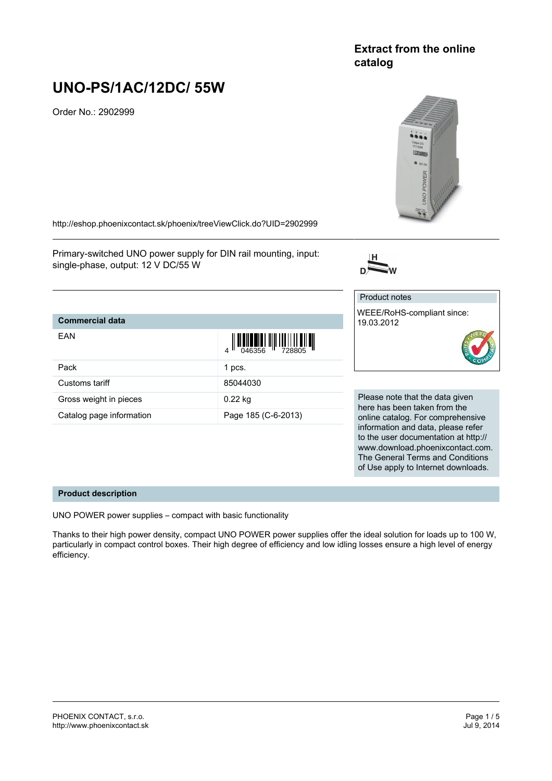# **Extract from the online catalog**

# **UNO-PS/1AC/12DC/ 55W**

Order No.: 2902999



www.download.phoenixcontact.com. The General Terms and Conditions of Use apply to Internet downloads.

<http://eshop.phoenixcontact.sk/phoenix/treeViewClick.do?UID=2902999>

Primary-switched UNO power supply for DIN rail mounting, input: single-phase, output: 12 V DC/55 W



#### **Commercial data** EAN  $\frac{1}{4}$   $\frac{1}{266356}$   $\frac{1}{10}$   $\frac{1}{728805}$ Pack 1 pcs. Customs tariff 85044030 Gross weight in pieces 0.22 kg Catalog page information Page 185 (C-6-2013) Product notes WEEE/RoHS-compliant since: 19.03.2012 Please note that the data given here has been taken from the online catalog. For comprehensive information and data, please refer to the user documentation at http://

**Product description**

UNO POWER power supplies – compact with basic functionality

Thanks to their high power density, compact UNO POWER power supplies offer the ideal solution for loads up to 100 W, particularly in compact control boxes. Their high degree of efficiency and low idling losses ensure a high level of energy efficiency.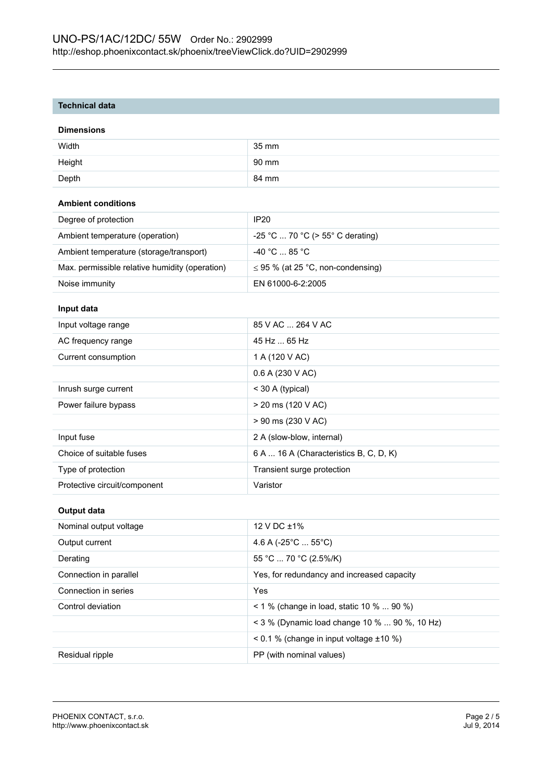#### **Technical data**

#### **Dimensions**

| Width  | 35 mm |
|--------|-------|
| Height | 90 mm |
| Depth  | 84 mm |

## **Ambient conditions**

| Degree of protection                           | IP <sub>20</sub>                       |
|------------------------------------------------|----------------------------------------|
| Ambient temperature (operation)                | $-25$ °C  70 °C (> 55° C derating)     |
| Ambient temperature (storage/transport)        | $-40\degree$ C  85 $^{\circ}$ C .      |
| Max. permissible relative humidity (operation) | $\leq$ 95 % (at 25 °C, non-condensing) |
| Noise immunity                                 | EN 61000-6-2:2005                      |

## **Input data**

| Input voltage range          | 85 V AC  264 V AC                      |
|------------------------------|----------------------------------------|
| AC frequency range           | 45 Hz  65 Hz                           |
| Current consumption          | 1 A (120 V AC)                         |
|                              | 0.6 A (230 V AC)                       |
| Inrush surge current         | $<$ 30 A (typical)                     |
| Power failure bypass         | $>$ 20 ms (120 V AC)                   |
|                              | > 90 ms (230 V AC)                     |
| Input fuse                   | 2 A (slow-blow, internal)              |
| Choice of suitable fuses     | 6 A  16 A (Characteristics B, C, D, K) |
| Type of protection           | Transient surge protection             |
| Protective circuit/component | Varistor                               |

#### **Output data**

| Nominal output voltage | 12 V DC $\pm$ 1%                                   |
|------------------------|----------------------------------------------------|
| Output current         | 4.6 A (-25 $^{\circ}$ C  55 $^{\circ}$ C)          |
| Derating               | 55 °C  70 °C (2.5%/K)                              |
| Connection in parallel | Yes, for redundancy and increased capacity         |
| Connection in series   | Yes                                                |
| Control deviation      | $1\%$ (change in load, static 10 %  90 %)          |
|                        | $\leq$ 3 % (Dynamic load change 10 %  90 %, 10 Hz) |
|                        | $\leq$ 0.1 % (change in input voltage $\pm$ 10 %)  |
| Residual ripple        | PP (with nominal values)                           |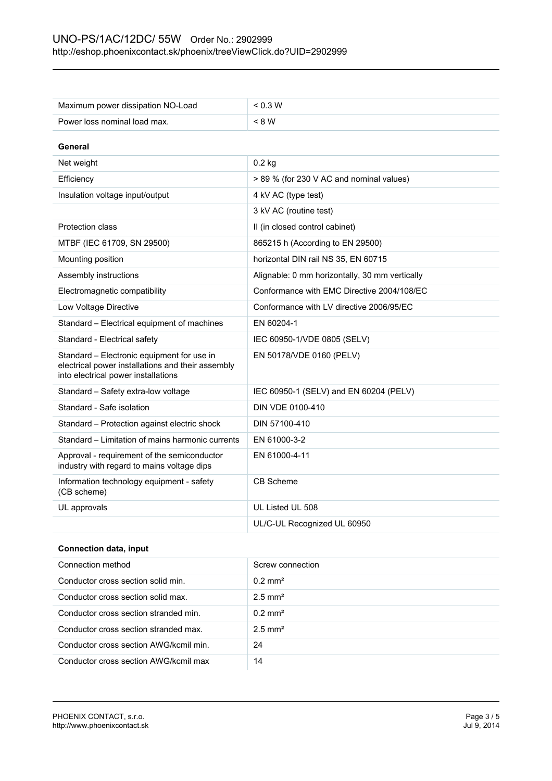| Maximum power dissipation NO-Load                                                                                                      | < 0.3 W                                        |
|----------------------------------------------------------------------------------------------------------------------------------------|------------------------------------------------|
| Power loss nominal load max.                                                                                                           | < 8 W                                          |
|                                                                                                                                        |                                                |
| General                                                                                                                                |                                                |
| Net weight                                                                                                                             | $0.2$ kg                                       |
| Efficiency                                                                                                                             | > 89 % (for 230 V AC and nominal values)       |
| Insulation voltage input/output                                                                                                        | 4 kV AC (type test)                            |
|                                                                                                                                        | 3 kV AC (routine test)                         |
| <b>Protection class</b>                                                                                                                | II (in closed control cabinet)                 |
| MTBF (IEC 61709, SN 29500)                                                                                                             | 865215 h (According to EN 29500)               |
| Mounting position                                                                                                                      | horizontal DIN rail NS 35, EN 60715            |
| Assembly instructions                                                                                                                  | Alignable: 0 mm horizontally, 30 mm vertically |
| Electromagnetic compatibility                                                                                                          | Conformance with EMC Directive 2004/108/EC     |
| Low Voltage Directive                                                                                                                  | Conformance with LV directive 2006/95/EC       |
| Standard - Electrical equipment of machines                                                                                            | EN 60204-1                                     |
| Standard - Electrical safety                                                                                                           | IEC 60950-1/VDE 0805 (SELV)                    |
| Standard - Electronic equipment for use in<br>electrical power installations and their assembly<br>into electrical power installations | EN 50178/VDE 0160 (PELV)                       |
| Standard - Safety extra-low voltage                                                                                                    | IEC 60950-1 (SELV) and EN 60204 (PELV)         |
| Standard - Safe isolation                                                                                                              | DIN VDE 0100-410                               |
| Standard – Protection against electric shock                                                                                           | DIN 57100-410                                  |
| Standard - Limitation of mains harmonic currents                                                                                       | EN 61000-3-2                                   |
| Approval - requirement of the semiconductor<br>industry with regard to mains voltage dips                                              | EN 61000-4-11                                  |
| Information technology equipment - safety<br>(CB scheme)                                                                               | <b>CB Scheme</b>                               |
| UL approvals                                                                                                                           | UL Listed UL 508                               |
|                                                                                                                                        | UL/C-UL Recognized UL 60950                    |

# **Connection data, input**

| Connection method                      | Screw connection      |
|----------------------------------------|-----------------------|
| Conductor cross section solid min.     | $0.2 \text{ mm}^2$    |
| Conductor cross section solid max.     | $2.5$ mm <sup>2</sup> |
| Conductor cross section stranded min.  | $0.2 \text{ mm}^2$    |
| Conductor cross section stranded max.  | $2.5$ mm <sup>2</sup> |
| Conductor cross section AWG/kcmil min. | 24                    |
| Conductor cross section AWG/kcmil max  | 14                    |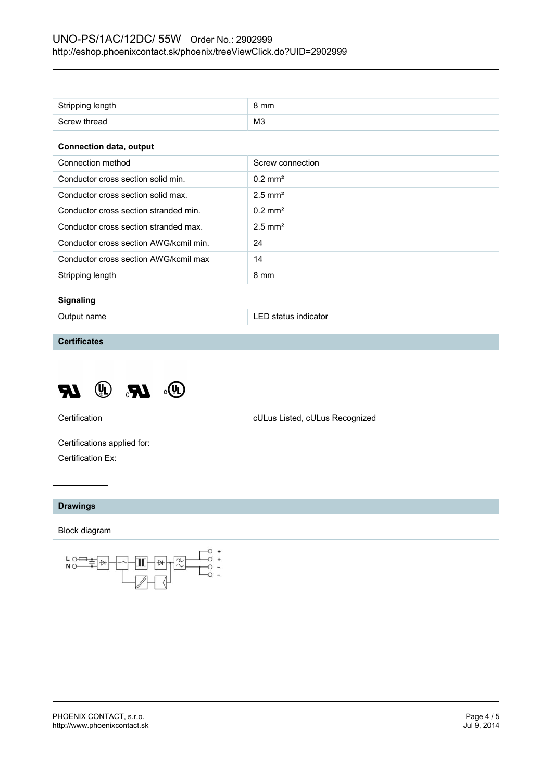| Stripping length                       | 8 mm                  |
|----------------------------------------|-----------------------|
| Screw thread                           | MЗ                    |
| <b>Connection data, output</b>         |                       |
| Connection method                      | Screw connection      |
| Conductor cross section solid min.     | $0.2$ mm <sup>2</sup> |
| Conductor cross section solid max.     | $2.5$ mm <sup>2</sup> |
| Conductor cross section stranded min.  | $0.2$ mm <sup>2</sup> |
| Conductor cross section stranded max.  | $2.5$ mm <sup>2</sup> |
| Conductor cross section AWG/kcmil min. | 24                    |
| Conductor cross section AWG/kcmil max  | 14                    |
| Stripping length                       | 8 mm                  |
|                                        |                       |

#### **Signaling**

Output name **LED** status indicator

**Certificates**



Certification cULus Listed, cULus Recognized

Certifications applied for: Certification Ex:

#### **Drawings**

Block diagram